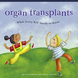## organ transplants

<sup>W</sup>ha<sup>t</sup> <sup>E</sup><sup>v</sup>e<sup>r</sup><sup>y</sup> <sup>K</sup>i<sup>d</sup> <sup>N</sup><sup>e</sup>ed<sup>s</sup> <sup>t</sup><sup>o</sup> <sup>K</sup>no<sup>w</sup>

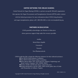#### **UNITED NETWORK FOR ORGAN SHARING**

United Network for Organ Sharing (UNOS) is a private non-profit  $501(c)(3)$  organization that operates the Organ Procurement and Transplantation Network (OPTN) under contract with the federal government. For more information about UNOS, living donation, and organ transplantation, please call 1-888-894-6361 or visit *www.transplantliving.org.*

#### **PARTNERS IN EDUCATION**

UNOS gratefully acknowledges our Partners in Education whose generous support helps make this resource possible:

#### Astellas

Bristol Myers Squibb

Genentech

Novartis

Teva Pharmaceuticals

UNOS would also like to thank the following volunteers for their editorial assistance:

- The OPTN/UNOS Pediatric Committee
- The OPTN/UNOS Patient Affairs Committee
- Marva Moxey-Mims, M.D., FAAP, Director, Pediatric Nephrology and Renal Centers, Programs, NIH, NIDDK, DKUH
- Eleanor Trinkle and Beverley Stone, school educators
- Reagan Montgomery and her 2002–2003 fourth grade class of Cedar Lane Elementary in Ashburn, Virginia.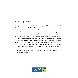#### A note to parents

Since you have received this booklet, *Organ Transplants: What Every Kid Needs to Know*, chances are that your child or a child you know may need an organ transplant now or some time in the future. This booklet has been created to help children and their families feel more at ease with the organ transplantation process by providing general information in an understandable format. Most importantly, it is designed to let the readers know that they are not alone and that there are other children who need a transplant. Since 1988 there have been more than 40,000 children who have received a new organ. Unfortunately, in the United States alone, there are approximately 1,700 children in need of an organ transplant. It is a stressful time for these children and their families. So, we hope that the information that you find here is helpful and provides you with the needed answers to your questions.

Please call UNOS Patient Services at 1-888-894-6361 or visit *www.transplantliving.org* for additional information.



UNITED NETWORK FOR ORGAN SHARING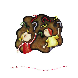

Did you know that there are a  $\log \frac{1}{\log n}$  of kids like you, who are waiting for a new organ?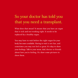#### So your doctor has told you that you need a transplant.

What does that mean? It means that you have an organ that is sick and not working right. It needs to be replaced by a healthy organ.

You may have to wait before the right organ for your body becomes available. Having to wait is not fun, and sometimes you may not feel so great. It's okay to show your feelings. Talk to your mom, dad, doctor or friends about how you're feeling. Or, draw some pictures to show them.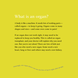#### What is an organ?

A body is like a machine. It needs lots of working parts called organs—to keep it going. Organs come in many shapes and sizes—and some even come in pairs!

If an organ does not work right, it may need to be replaced to keep you healthy. This is called an organ transplant, and your doctor will explain why you need one. But you're not alone! There are lots of kids just like you who need a new organ. Some need a new heart, lung or liver and others may need a new kidney.

Amazingly, one organ  $d_{O_{O_P}}$   $_{C_{dD}}$   $_{S_{dVc}}$  the lives of up to eight other people.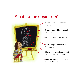#### What do the organs do?



**Lungs** – a pair of organs that

**Heart** – pumps blood through

**Pancreas** – helps the body use

**Liver** – helps break down the

**Kidneys** – a pair of organs that get rid of the body's waste

**Intestine** – takes in water and food for the body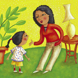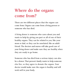## Where do the organs come from?

There are two different places that the organs can come from. Organs can come from a living person or someone who has died.

A living donor is someone who cares about you and wants to help by giving you part or all of one of their healthy organs. They can be related to you, like your mom or dad, or they can be unrelated, like an adult friend. The doctors and nurses will take good care of your living donor and make sure they are healthy when they are ready to go home.

Someone who has died from a serious injury can also be a donor. That person's family wants to help someone else live, so they agree to donate the organs. Your doctor would make sure the organ is healthy and will work well in your body.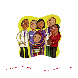

Your transplant team includes  $d_{OctO_{rs}}$ ,  $n_{Urs_{es}}$  and other people, all working to help you feel better.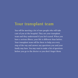#### Your transplant team

You will be meeting a lot of new people who will take care of you at the hospital. They are your transplant team and they understand if you feel scared. When you have a serious illness, your life is different than before. Your transplant team will be there to help you every step of the way and answer any questions you and your family may have. You may want to make a list of questions before you go to the doctor so you don't forget them.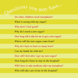# Questions you may have...

Do other children need transplants?

What is wrong with my organ?

Why don't I feel good?

Why do I need a new organ?

How long will it take for me to get a new organ?

Where will the new organ come from?

Why do I have to have so many tests?

Can my family be with me?

How will I feel after I get my new organ?

How long do I have to stay in the hospital?

Will I have to take medicine after my transplant?

Who will take care of me in the hospital?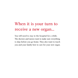## When it is your turn to receive a new organ...

You will need to stay in the hospital for a while. The doctors and nurses want to make sure everything is okay before you go home. They also want to teach you and your family how to care for your new organ.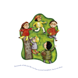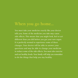#### When you go home...

You must take your medicine exactly like your doctor tells you. Some of the medicine you take may cause side effects. This means that you might look, feel or act different than you did before you got your new organ. It is perfectly normal to experience some of these changes. Your doctor will be able to answer your questions and may be able to change your medicine to reduce some of the side effects. You must also exercise and eat healthy foods. Your family will help you remember to do the things that help you stay healthy.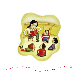

It's important to remember that  $y_{OUP}$  transplant experience may be different from another child's.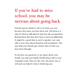## If you've had to miss school, you may be nervous about going back.

Friends may be afraid to call or to invite you over because they know you have been sick. Tell them it is okay for them to talk about it and even ask you questions. Remind them that they don't have to treat you differently. It might be a good idea to ask if a speaker can come talk to your class about donation and transplants. This may help your friends get a better idea of what you have been through.

If you have any questions or are upset about your health, you and your family should always talk to your transplant team. They are the ones who know you so well and can help fix what is bothering you.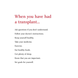## When you have had a transplant...

Ask questions if you don't understand.

Follow your doctor's instructions.

Keep yourself healthy.

Take your medicine.

Exercise.

Eat healthy foods.

Get plenty of sleep.

Know that you are important.

Set goals for yourself.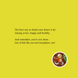The best way to thank your donor is by staying active, happy and healthy.

And remember, you're not alone. *Lots of kids like you need transplants, too!*